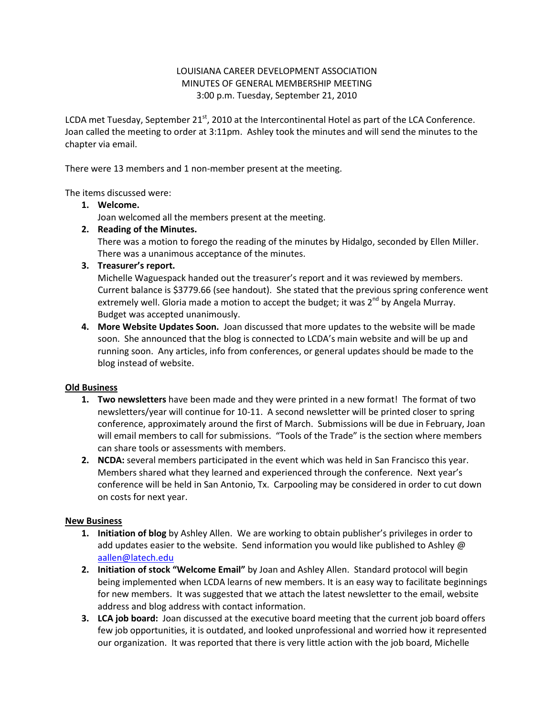## LOUISIANA CAREER DEVELOPMENT ASSOCIATION MINUTES OF GENERAL MEMBERSHIP MEETING 3:00 p.m. Tuesday, September 21, 2010

LCDA met Tuesday, September 21 $^{st}$ , 2010 at the Intercontinental Hotel as part of the LCA Conference. Joan called the meeting to order at 3:11pm. Ashley took the minutes and will send the minutes to the chapter via email.

There were 13 members and 1 non-member present at the meeting.

The items discussed were:

## **1. Welcome.**

Joan welcomed all the members present at the meeting.

**2. Reading of the Minutes.**

There was a motion to forego the reading of the minutes by Hidalgo, seconded by Ellen Miller. There was a unanimous acceptance of the minutes.

**3. Treasurer's report.**

Michelle Waguespack handed out the treasurer's report and it was reviewed by members. Current balance is \$3779.66 (see handout). She stated that the previous spring conference went extremely well. Gloria made a motion to accept the budget; it was  $2<sup>nd</sup>$  by Angela Murray. Budget was accepted unanimously.

**4. More Website Updates Soon.** Joan discussed that more updates to the website will be made soon. She announced that the blog is connected to LCDA's main website and will be up and running soon. Any articles, info from conferences, or general updates should be made to the blog instead of website.

## **Old Business**

- **1. Two newsletters** have been made and they were printed in a new format! The format of two newsletters/year will continue for 10-11. A second newsletter will be printed closer to spring conference, approximately around the first of March. Submissions will be due in February, Joan will email members to call for submissions. "Tools of the Trade" is the section where members can share tools or assessments with members.
- **2. NCDA:** several members participated in the event which was held in San Francisco this year. Members shared what they learned and experienced through the conference. Next year's conference will be held in San Antonio, Tx. Carpooling may be considered in order to cut down on costs for next year.

## **New Business**

- **1. Initiation of blog** by Ashley Allen. We are working to obtain publisher's privileges in order to add updates easier to the website. Send information you would like published to Ashley  $\omega$ [aallen@latech.edu](mailto:aallen@latech.edu)
- **2. Initiation of stock "Welcome Email"** by Joan and Ashley Allen. Standard protocol will begin being implemented when LCDA learns of new members. It is an easy way to facilitate beginnings for new members. It was suggested that we attach the latest newsletter to the email, website address and blog address with contact information.
- **3. LCA job board:** Joan discussed at the executive board meeting that the current job board offers few job opportunities, it is outdated, and looked unprofessional and worried how it represented our organization. It was reported that there is very little action with the job board, Michelle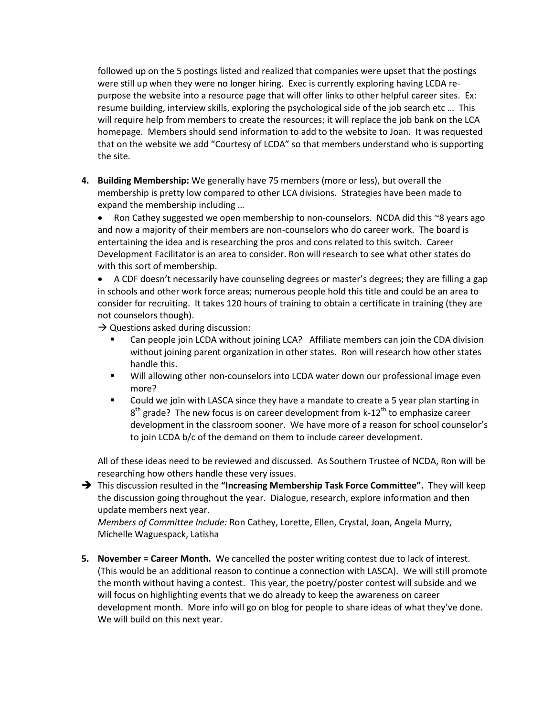followed up on the 5 postings listed and realized that companies were upset that the postings were still up when they were no longer hiring. Exec is currently exploring having LCDA repurpose the website into a resource page that will offer links to other helpful career sites. Ex: resume building, interview skills, exploring the psychological side of the job search etc … This will require help from members to create the resources; it will replace the job bank on the LCA homepage. Members should send information to add to the website to Joan. It was requested that on the website we add "Courtesy of LCDA" so that members understand who is supporting the site.

**4. Building Membership:** We generally have 75 members (more or less), but overall the membership is pretty low compared to other LCA divisions. Strategies have been made to expand the membership including …

• Ron Cathey suggested we open membership to non-counselors. NCDA did this  $\approx$ 8 years ago and now a majority of their members are non-counselors who do career work. The board is entertaining the idea and is researching the pros and cons related to this switch. Career Development Facilitator is an area to consider. Ron will research to see what other states do with this sort of membership.

 A CDF doesn't necessarily have counseling degrees or master's degrees; they are filling a gap in schools and other work force areas; numerous people hold this title and could be an area to consider for recruiting. It takes 120 hours of training to obtain a certificate in training (they are not counselors though).

 $\rightarrow$  Questions asked during discussion:

- Can people join LCDA without joining LCA? Affiliate members can join the CDA division without joining parent organization in other states. Ron will research how other states handle this.
- Will allowing other non-counselors into LCDA water down our professional image even more?
- Could we join with LASCA since they have a mandate to create a 5 year plan starting in  $8<sup>th</sup>$  grade? The new focus is on career development from k-12<sup>th</sup> to emphasize career development in the classroom sooner. We have more of a reason for school counselor's to join LCDA b/c of the demand on them to include career development.

All of these ideas need to be reviewed and discussed. As Southern Trustee of NCDA, Ron will be researching how others handle these very issues.

 This discussion resulted in the **"Increasing Membership Task Force Committee".** They will keep the discussion going throughout the year. Dialogue, research, explore information and then update members next year.

*Members of Committee Include:* Ron Cathey, Lorette, Ellen, Crystal, Joan, Angela Murry, Michelle Waguespack, Latisha

**5. November = Career Month.** We cancelled the poster writing contest due to lack of interest. (This would be an additional reason to continue a connection with LASCA). We will still promote the month without having a contest. This year, the poetry/poster contest will subside and we will focus on highlighting events that we do already to keep the awareness on career development month. More info will go on blog for people to share ideas of what they've done. We will build on this next year.